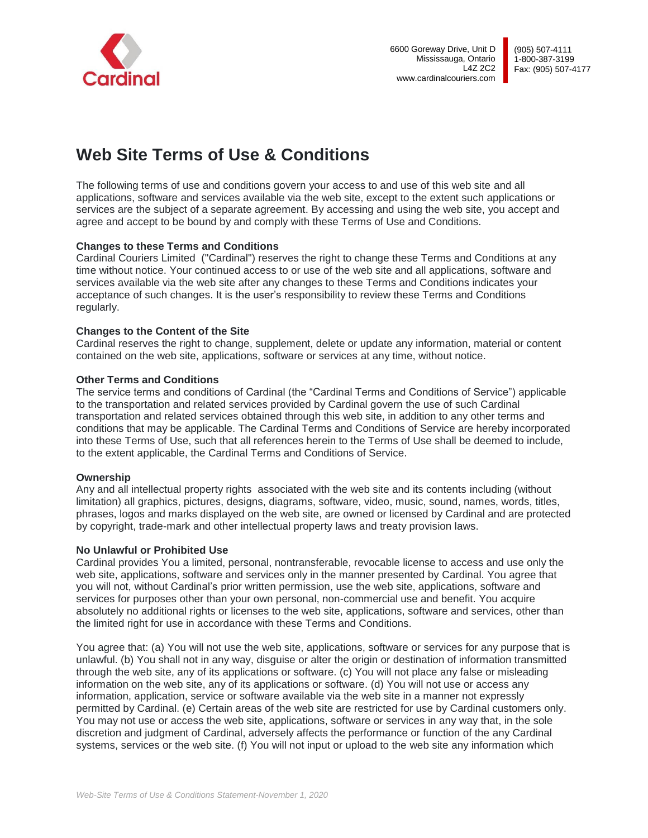

# **Web Site Terms of Use & Conditions**

The following terms of use and conditions govern your access to and use of this web site and all applications, software and services available via the web site, except to the extent such applications or services are the subject of a separate agreement. By accessing and using the web site, you accept and agree and accept to be bound by and comply with these Terms of Use and Conditions.

# **Changes to these Terms and Conditions**

Cardinal Couriers Limited ("Cardinal") reserves the right to change these Terms and Conditions at any time without notice. Your continued access to or use of the web site and all applications, software and services available via the web site after any changes to these Terms and Conditions indicates your acceptance of such changes. It is the user's responsibility to review these Terms and Conditions regularly.

# **Changes to the Content of the Site**

Cardinal reserves the right to change, supplement, delete or update any information, material or content contained on the web site, applications, software or services at any time, without notice.

# **Other Terms and Conditions**

The service terms and conditions of Cardinal (the "Cardinal Terms and Conditions of Service") applicable to the transportation and related services provided by Cardinal govern the use of such Cardinal transportation and related services obtained through this web site, in addition to any other terms and conditions that may be applicable. The Cardinal Terms and Conditions of Service are hereby incorporated into these Terms of Use, such that all references herein to the Terms of Use shall be deemed to include, to the extent applicable, the Cardinal Terms and Conditions of Service.

# **Ownership**

Any and all intellectual property rights associated with the web site and its contents including (without limitation) all graphics, pictures, designs, diagrams, software, video, music, sound, names, words, titles, phrases, logos and marks displayed on the web site, are owned or licensed by Cardinal and are protected by copyright, trade-mark and other intellectual property laws and treaty provision laws.

# **No Unlawful or Prohibited Use**

Cardinal provides You a limited, personal, nontransferable, revocable license to access and use only the web site, applications, software and services only in the manner presented by Cardinal. You agree that you will not, without Cardinal's prior written permission, use the web site, applications, software and services for purposes other than your own personal, non-commercial use and benefit. You acquire absolutely no additional rights or licenses to the web site, applications, software and services, other than the limited right for use in accordance with these Terms and Conditions.

You agree that: (a) You will not use the web site, applications, software or services for any purpose that is unlawful. (b) You shall not in any way, disguise or alter the origin or destination of information transmitted through the web site, any of its applications or software. (c) You will not place any false or misleading information on the web site, any of its applications or software. (d) You will not use or access any information, application, service or software available via the web site in a manner not expressly permitted by Cardinal. (e) Certain areas of the web site are restricted for use by Cardinal customers only. You may not use or access the web site, applications, software or services in any way that, in the sole discretion and judgment of Cardinal, adversely affects the performance or function of the any Cardinal systems, services or the web site. (f) You will not input or upload to the web site any information which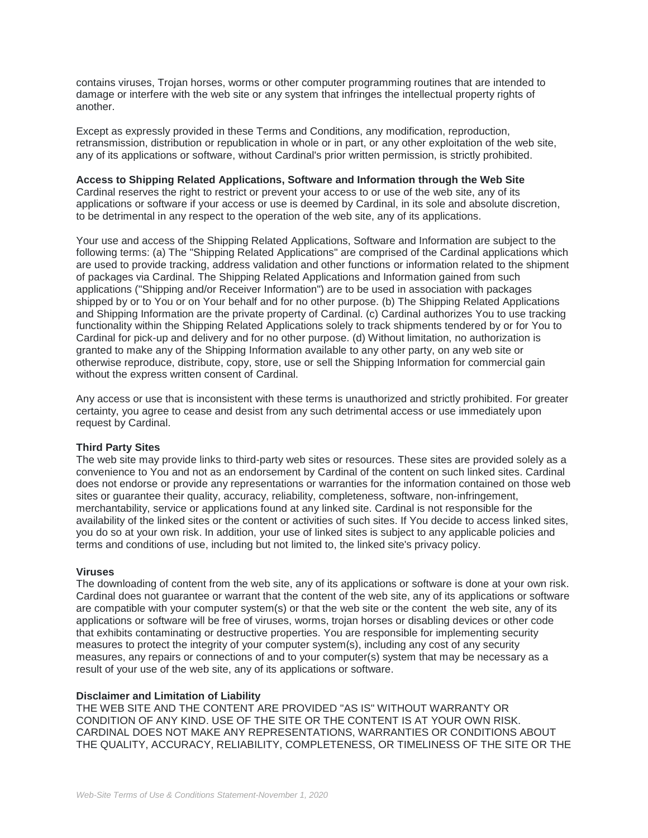contains viruses, Trojan horses, worms or other computer programming routines that are intended to damage or interfere with the web site or any system that infringes the intellectual property rights of another.

Except as expressly provided in these Terms and Conditions, any modification, reproduction, retransmission, distribution or republication in whole or in part, or any other exploitation of the web site, any of its applications or software, without Cardinal's prior written permission, is strictly prohibited.

# **Access to Shipping Related Applications, Software and Information through the Web Site**

Cardinal reserves the right to restrict or prevent your access to or use of the web site, any of its applications or software if your access or use is deemed by Cardinal, in its sole and absolute discretion, to be detrimental in any respect to the operation of the web site, any of its applications.

Your use and access of the Shipping Related Applications, Software and Information are subject to the following terms: (a) The "Shipping Related Applications" are comprised of the Cardinal applications which are used to provide tracking, address validation and other functions or information related to the shipment of packages via Cardinal. The Shipping Related Applications and Information gained from such applications ("Shipping and/or Receiver Information") are to be used in association with packages shipped by or to You or on Your behalf and for no other purpose. (b) The Shipping Related Applications and Shipping Information are the private property of Cardinal. (c) Cardinal authorizes You to use tracking functionality within the Shipping Related Applications solely to track shipments tendered by or for You to Cardinal for pick-up and delivery and for no other purpose. (d) Without limitation, no authorization is granted to make any of the Shipping Information available to any other party, on any web site or otherwise reproduce, distribute, copy, store, use or sell the Shipping Information for commercial gain without the express written consent of Cardinal.

Any access or use that is inconsistent with these terms is unauthorized and strictly prohibited. For greater certainty, you agree to cease and desist from any such detrimental access or use immediately upon request by Cardinal.

#### **Third Party Sites**

The web site may provide links to third-party web sites or resources. These sites are provided solely as a convenience to You and not as an endorsement by Cardinal of the content on such linked sites. Cardinal does not endorse or provide any representations or warranties for the information contained on those web sites or guarantee their quality, accuracy, reliability, completeness, software, non-infringement, merchantability, service or applications found at any linked site. Cardinal is not responsible for the availability of the linked sites or the content or activities of such sites. If You decide to access linked sites, you do so at your own risk. In addition, your use of linked sites is subject to any applicable policies and terms and conditions of use, including but not limited to, the linked site's privacy policy.

#### **Viruses**

The downloading of content from the web site, any of its applications or software is done at your own risk. Cardinal does not guarantee or warrant that the content of the web site, any of its applications or software are compatible with your computer system(s) or that the web site or the content the web site, any of its applications or software will be free of viruses, worms, trojan horses or disabling devices or other code that exhibits contaminating or destructive properties. You are responsible for implementing security measures to protect the integrity of your computer system(s), including any cost of any security measures, any repairs or connections of and to your computer(s) system that may be necessary as a result of your use of the web site, any of its applications or software.

#### **Disclaimer and Limitation of Liability**

THE WEB SITE AND THE CONTENT ARE PROVIDED "AS IS" WITHOUT WARRANTY OR CONDITION OF ANY KIND. USE OF THE SITE OR THE CONTENT IS AT YOUR OWN RISK. CARDINAL DOES NOT MAKE ANY REPRESENTATIONS, WARRANTIES OR CONDITIONS ABOUT THE QUALITY, ACCURACY, RELIABILITY, COMPLETENESS, OR TIMELINESS OF THE SITE OR THE